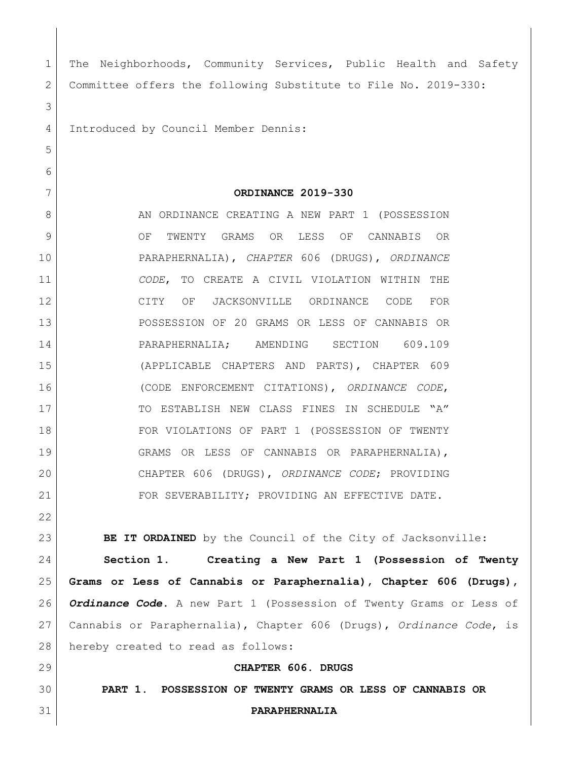| $\mathbf 1$ | The Neighborhoods, Community Services, Public Health and Safety     |
|-------------|---------------------------------------------------------------------|
| 2           | Committee offers the following Substitute to File No. 2019-330:     |
| 3           |                                                                     |
| 4           | Introduced by Council Member Dennis:                                |
| 5           |                                                                     |
| 6           |                                                                     |
| 7           | ORDINANCE 2019-330                                                  |
| 8           | AN ORDINANCE CREATING A NEW PART 1 (POSSESSION                      |
| $\mathsf 9$ | TWENTY GRAMS OR LESS OF CANNABIS OR<br>OF                           |
| 10          | PARAPHERNALIA), CHAPTER 606 (DRUGS), ORDINANCE                      |
| 11          | CODE, TO CREATE A CIVIL VIOLATION WITHIN THE                        |
| 12          | CITY OF JACKSONVILLE ORDINANCE CODE FOR                             |
| 13          | POSSESSION OF 20 GRAMS OR LESS OF CANNABIS OR                       |
| 14          | PARAPHERNALIA; AMENDING SECTION 609.109                             |
| 15          | (APPLICABLE CHAPTERS AND PARTS), CHAPTER 609                        |
| 16          | (CODE ENFORCEMENT CITATIONS), ORDINANCE CODE,                       |
| 17          | TO ESTABLISH NEW CLASS FINES IN SCHEDULE "A"                        |
| 18          | FOR VIOLATIONS OF PART 1 (POSSESSION OF TWENTY                      |
| 19          | GRAMS OR LESS OF CANNABIS OR PARAPHERNALIA),                        |
| 20          | CHAPTER 606 (DRUGS), ORDINANCE CODE; PROVIDING                      |
| 21          | FOR SEVERABILITY; PROVIDING AN EFFECTIVE DATE.                      |
| 22          |                                                                     |
| 23          | BE IT ORDAINED by the Council of the City of Jacksonville:          |
| 24          | Section 1.<br>Creating a New Part 1 (Possession of Twenty           |
| 25          | Grams or Less of Cannabis or Paraphernalia), Chapter 606 (Drugs),   |
| 26          | Ordinance Code. A new Part 1 (Possession of Twenty Grams or Less of |
| 27          | Cannabis or Paraphernalia), Chapter 606 (Drugs), Ordinance Code, is |
| 28          | hereby created to read as follows:                                  |
| 29          | CHAPTER 606. DRUGS                                                  |
| 30          | PART 1. POSSESSION OF TWENTY GRAMS OR LESS OF CANNABIS OR           |
| 31          | PARAPHERNALIA                                                       |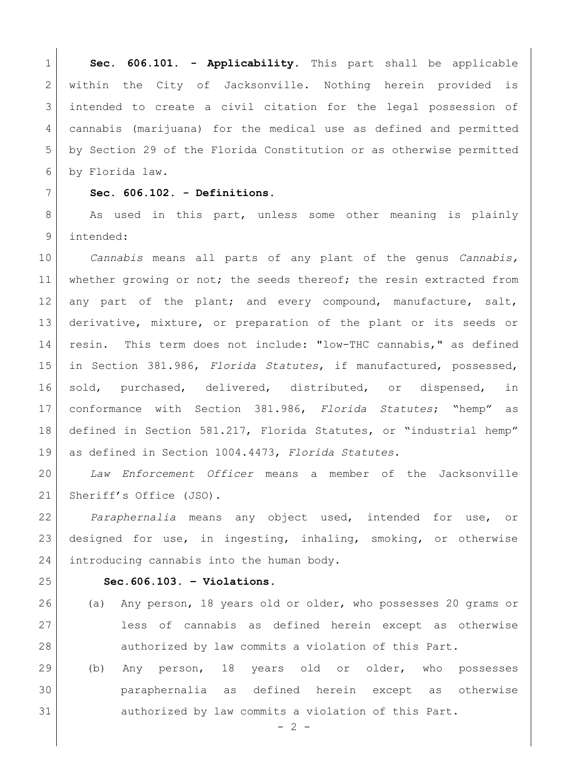**Sec. 606.101. - Applicability.** This part shall be applicable 2 | within the City of Jacksonville. Nothing herein provided is intended to create a civil citation for the legal possession of cannabis (marijuana) for the medical use as defined and permitted by Section 29 of the Florida Constitution or as otherwise permitted by Florida law.

## **Sec. 606.102. - Definitions.**

8 As used in this part, unless some other meaning is plainly intended:

 *Cannabis* means all parts of any plant of the genus *Cannabis,* whether growing or not; the seeds thereof; the resin extracted from any part of the plant; and every compound, manufacture, salt, derivative, mixture, or preparation of the plant or its seeds or resin. This term does not include: "low-THC cannabis," as defined in Section 381.986, *Florida Statutes*, if manufactured, possessed, sold, purchased, delivered, distributed, or dispensed, in conformance with Section 381.986, *Florida Statutes*; "hemp" as defined in Section 581.217, Florida Statutes, or "industrial hemp" as defined in Section 1004.4473, *Florida Statutes*.

 *Law Enforcement Officer* means a member of the Jacksonville 21 Sheriff's Office (JSO).

 *Paraphernalia* means any object used, intended for use, or designed for use, in ingesting, inhaling, smoking, or otherwise 24 introducing cannabis into the human body.

## **Sec.606.103. – Violations.**

- (a) Any person, 18 years old or older, who possesses 20 grams or less of cannabis as defined herein except as otherwise authorized by law commits a violation of this Part.
- (b) Any person, 18 years old or older, who possesses paraphernalia as defined herein except as otherwise authorized by law commits a violation of this Part.

 $-2 -$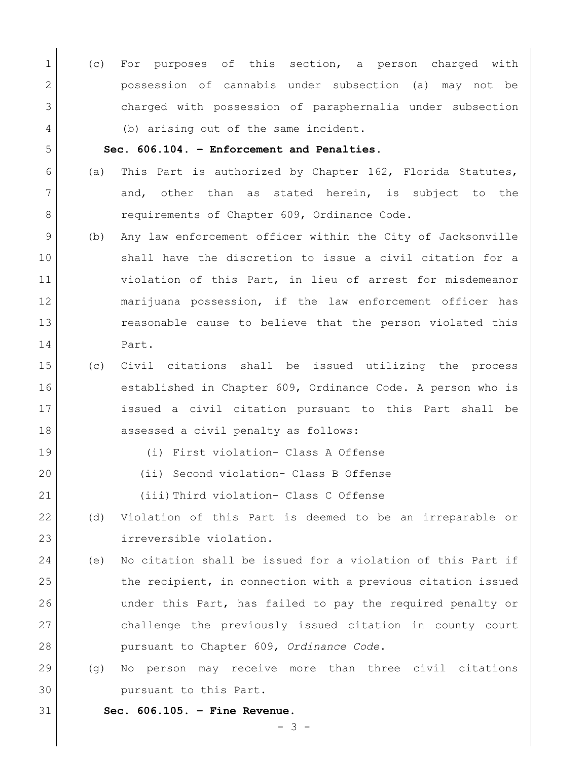(c) For purposes of this section, a person charged with possession of cannabis under subsection (a) may not be charged with possession of paraphernalia under subsection 4 (b) arising out of the same incident.

## **Sec. 606.104. – Enforcement and Penalties.**

- 6 (a) This Part is authorized by Chapter 162, Florida Statutes, 7 and, other than as stated herein, is subject to the 8 requirements of Chapter 609, Ordinance Code.
- (b) Any law enforcement officer within the City of Jacksonville shall have the discretion to issue a civil citation for a violation of this Part, in lieu of arrest for misdemeanor marijuana possession, if the law enforcement officer has reasonable cause to believe that the person violated this Part.
- (c) Civil citations shall be issued utilizing the process established in Chapter 609, Ordinance Code. A person who is issued a civil citation pursuant to this Part shall be 18 assessed a civil penalty as follows:
	-
- (i) First violation- Class A Offense
- (ii) Second violation- Class B Offense
- (iii)Third violation- Class C Offense
- (d) Violation of this Part is deemed to be an irreparable or irreversible violation.
- (e) No citation shall be issued for a violation of this Part if the recipient, in connection with a previous citation issued under this Part, has failed to pay the required penalty or challenge the previously issued citation in county court pursuant to Chapter 609, *Ordinance Code*.
- (g) No person may receive more than three civil citations pursuant to this Part.

**Sec. 606.105. – Fine Revenue.**

- 3 -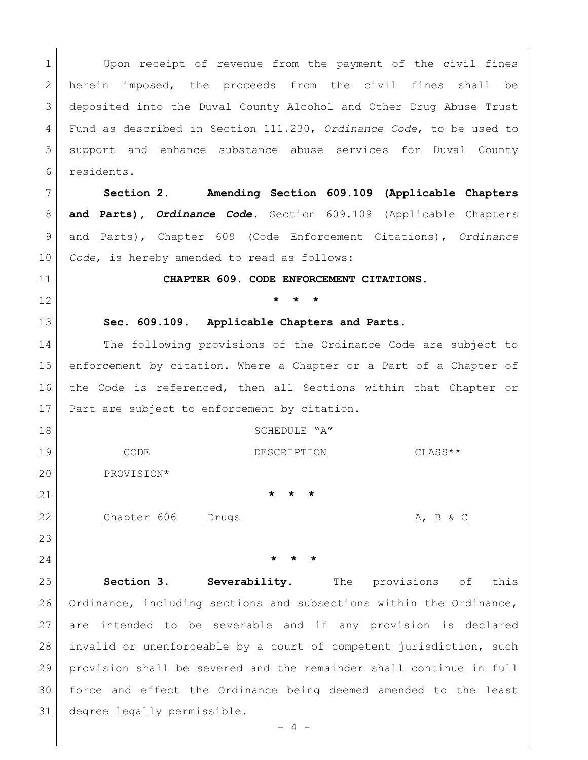1 Upon receipt of revenue from the payment of the civil fines herein imposed, the proceeds from the civil fines shall be deposited into the Duval County Alcohol and Other Drug Abuse Trust Fund as described in Section 111.230, *Ordinance Code*, to be used to support and enhance substance abuse services for Duval County residents. **Section 2. Amending Section 609.109 (Applicable Chapters** 

 **and Parts),** *Ordinance Code*. Section 609.109 (Applicable Chapters and Parts), Chapter 609 (Code Enforcement Citations), *Ordinance Code*, is hereby amended to read as follows:

**CHAPTER 609. CODE ENFORCEMENT CITATIONS.**

**\* \* \***

**Sec. 609.109**. **Applicable Chapters and Parts**.

14 The following provisions of the Ordinance Code are subject to enforcement by citation. Where a Chapter or a Part of a Chapter of the Code is referenced, then all Sections within that Chapter or 17 | Part are subject to enforcement by citation.

18 SCHEDULE "A" 19 CODE CODE DESCRIPTION CLASS \*\* PROVISION\* **\* \* \*** 22 Chapter 606 Drugs Chapter 606 Drugs Chapter A, B & C

**\* \* \***

 **Section 3. Severability.** The provisions of this Ordinance, including sections and subsections within the Ordinance, are intended to be severable and if any provision is declared invalid or unenforceable by a court of competent jurisdiction, such provision shall be severed and the remainder shall continue in full force and effect the Ordinance being deemed amended to the least degree legally permissible.

 $- 4 -$